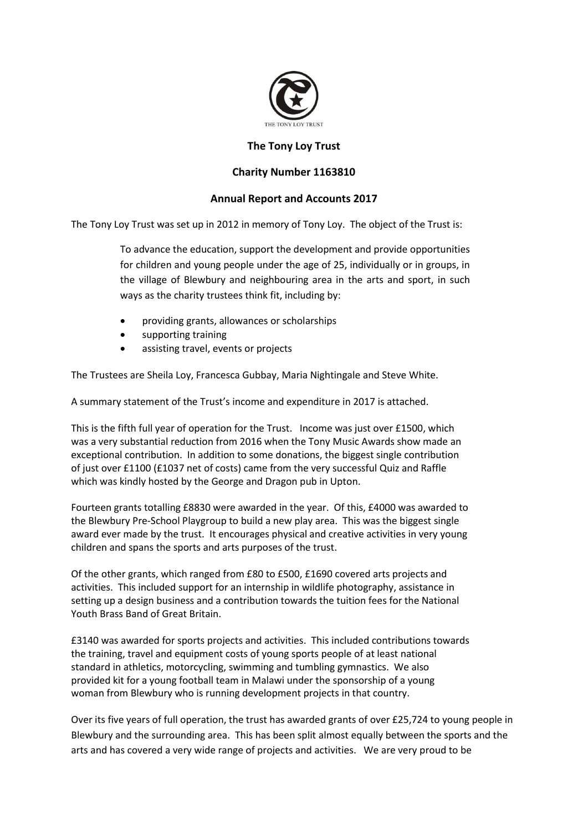

## **The Tony Loy Trust**

## **Charity Number 1163810**

## **Annual Report and Accounts 2017**

The Tony Loy Trust was set up in 2012 in memory of Tony Loy. The object of the Trust is:

To advance the education, support the development and provide opportunities for children and young people under the age of 25, individually or in groups, in the village of Blewbury and neighbouring area in the arts and sport, in such ways as the charity trustees think fit, including by:

- providing grants, allowances or scholarships
- supporting training
- assisting travel, events or projects

The Trustees are Sheila Loy, Francesca Gubbay, Maria Nightingale and Steve White.

A summary statement of the Trust's income and expenditure in 2017 is attached.

This is the fifth full year of operation for the Trust. Income was just over £1500, which was a very substantial reduction from 2016 when the Tony Music Awards show made an exceptional contribution. In addition to some donations, the biggest single contribution of just over £1100 (£1037 net of costs) came from the very successful Quiz and Raffle which was kindly hosted by the George and Dragon pub in Upton.

Fourteen grants totalling £8830 were awarded in the year. Of this, £4000 was awarded to the Blewbury Pre-School Playgroup to build a new play area. This was the biggest single award ever made by the trust. It encourages physical and creative activities in very young children and spans the sports and arts purposes of the trust.

Of the other grants, which ranged from £80 to £500, £1690 covered arts projects and activities. This included support for an internship in wildlife photography, assistance in setting up a design business and a contribution towards the tuition fees for the National Youth Brass Band of Great Britain.

£3140 was awarded for sports projects and activities. This included contributions towards the training, travel and equipment costs of young sports people of at least national standard in athletics, motorcycling, swimming and tumbling gymnastics. We also provided kit for a young football team in Malawi under the sponsorship of a young woman from Blewbury who is running development projects in that country.

Over its five years of full operation, the trust has awarded grants of over £25,724 to young people in Blewbury and the surrounding area. This has been split almost equally between the sports and the arts and has covered a very wide range of projects and activities. We are very proud to be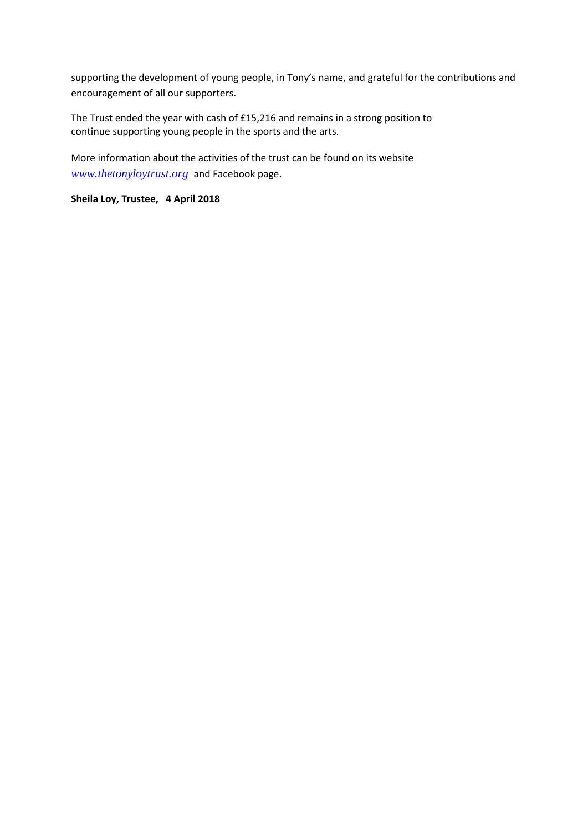supporting the development of young people, in Tony's name, and grateful for the contributions and encouragement of all our supporters.

The Trust ended the year with cash of £15,216 and remains in a strong position to continue supporting young people in the sports and the arts.

More information about the activities of the trust can be found on its website *[www.thetonyloytrust.org](http://www.thetonyloytrust.org/)* and Facebook page.

**Sheila Loy, Trustee, 4 April 2018**